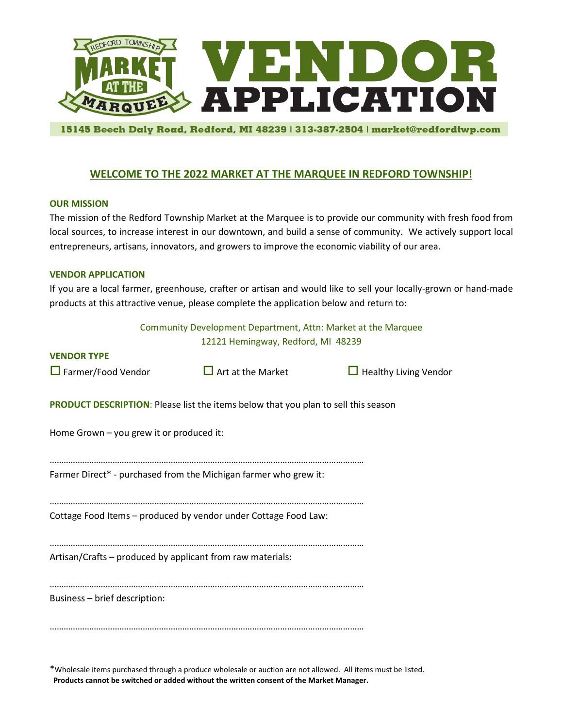

15145 Beech Daly Road, Redford, MI 48239 | 313-387-2504 | market@redfordtwp.com

# **WELCOME TO THE 2022 MARKET AT THE MARQUEE IN REDFORD TOWNSHIP!**

#### **OUR MISSION**

The mission of the Redford Township Market at the Marquee is to provide our community with fresh food from local sources, to increase interest in our downtown, and build a sense of community. We actively support local entrepreneurs, artisans, innovators, and growers to improve the economic viability of our area.

#### **VENDOR APPLICATION**

If you are a local farmer, greenhouse, crafter or artisan and would like to sell your locally-grown or hand-made products at this attractive venue, please complete the application below and return to:

| Community Development Department, Attn: Market at the Marquee                             |                                    |                              |  |  |  |  |  |
|-------------------------------------------------------------------------------------------|------------------------------------|------------------------------|--|--|--|--|--|
|                                                                                           | 12121 Hemingway, Redford, MI 48239 |                              |  |  |  |  |  |
| <b>VENDOR TYPE</b>                                                                        |                                    |                              |  |  |  |  |  |
| $\Box$ Farmer/Food Vendor                                                                 | $\Box$ Art at the Market           | $\Box$ Healthy Living Vendor |  |  |  |  |  |
| <b>PRODUCT DESCRIPTION:</b> Please list the items below that you plan to sell this season |                                    |                              |  |  |  |  |  |
| Home Grown - you grew it or produced it:                                                  |                                    |                              |  |  |  |  |  |
|                                                                                           |                                    |                              |  |  |  |  |  |
| Farmer Direct* - purchased from the Michigan farmer who grew it:                          |                                    |                              |  |  |  |  |  |
| Cottage Food Items - produced by vendor under Cottage Food Law:                           |                                    |                              |  |  |  |  |  |
| Artisan/Crafts - produced by applicant from raw materials:                                |                                    |                              |  |  |  |  |  |
| Business - brief description:                                                             |                                    |                              |  |  |  |  |  |
|                                                                                           |                                    |                              |  |  |  |  |  |

\*Wholesale items purchased through a produce wholesale or auction are not allowed. All items must be listed.  **Products cannot be switched or added without the written consent of the Market Manager.**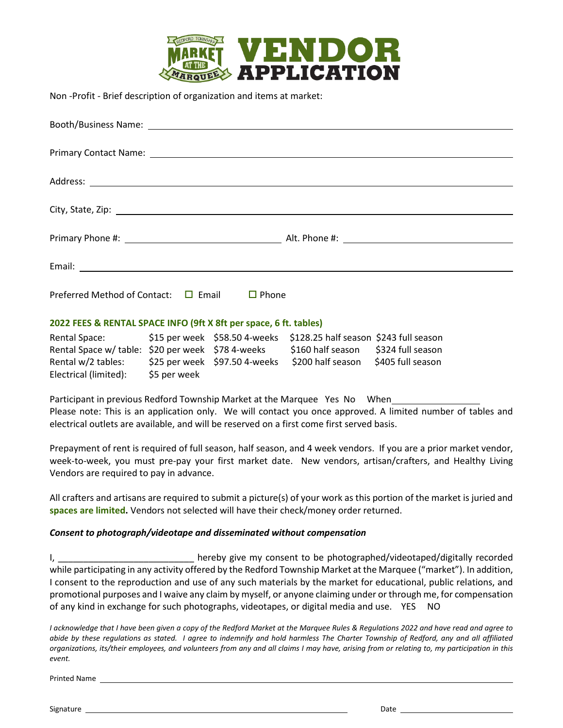

Non -Profit - Brief description of organization and items at market:

| Preferred Method of Contact: $\Box$ Email | $\Box$ Phone |
|-------------------------------------------|--------------|

#### **2022 FEES & RENTAL SPACE INFO (9ft X 8ft per space, 6 ft. tables)**

| <b>Rental Space:</b>                              |              |                                 | \$15 per week \$58.50 4-weeks \$128.25 half season \$243 full season |                   |
|---------------------------------------------------|--------------|---------------------------------|----------------------------------------------------------------------|-------------------|
| Rental Space w/ table: \$20 per week \$78 4-weeks |              |                                 | \$160 half season \$324 full season                                  |                   |
| Rental w/2 tables:                                |              | $$25$ per week $$97.50$ 4-weeks | \$200 half season                                                    | \$405 full season |
| Electrical (limited):                             | \$5 per week |                                 |                                                                      |                   |

Participant in previous Redford Township Market at the Marquee Yes No When Please note: This is an application only. We will contact you once approved. A limited number of tables and electrical outlets are available, and will be reserved on a first come first served basis.

Prepayment of rent is required of full season, half season, and 4 week vendors. If you are a prior market vendor, week-to-week, you must pre-pay your first market date. New vendors, artisan/crafters, and Healthy Living Vendors are required to pay in advance.

All crafters and artisans are required to submit a picture(s) of your work as this portion of the market is juried and **spaces are limited.** Vendors not selected will have their check/money order returned.

# *Consent to photograph/videotape and disseminated without compensation*

I, thereby give my consent to be photographed/videotaped/digitally recorded while participating in any activity offered by the Redford Township Market at the Marquee ("market"). In addition, I consent to the reproduction and use of any such materials by the market for educational, public relations, and promotional purposes and I waive any claim by myself, or anyone claiming under or through me, for compensation of any kind in exchange for such photographs, videotapes, or digital media and use. YES NO

*I acknowledge that I have been given a copy of the Redford Market at the Marquee Rules & Regulations 2022 and have read and agree to abide by these regulations as stated. I agree to indemnify and hold harmless The Charter Township of Redford, any and all affiliated organizations, its/their employees, and volunteers from any and all claims I may have, arising from or relating to, my participation in this event.* 

Printed Name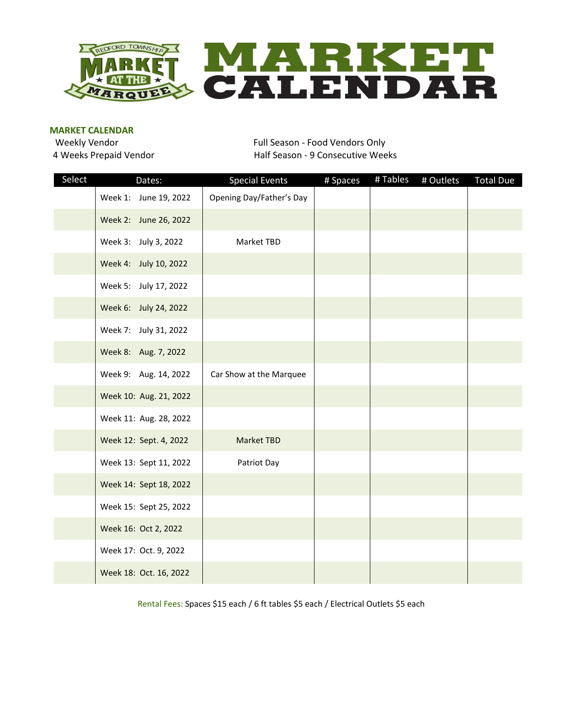

#### **MARKET CALENDAR**

Weekly Vendor **Full Season - Food Vendors Only** 4 Weeks Prepaid Vendor **Half Season - 9 Consecutive Weeks** 

| Select | Dates:                 | <b>Special Events</b>    | # Spaces | #Tables | # Outlets | <b>Total Due</b> |
|--------|------------------------|--------------------------|----------|---------|-----------|------------------|
|        | Week 1: June 19, 2022  | Opening Day/Father's Day |          |         |           |                  |
|        | Week 2: June 26, 2022  |                          |          |         |           |                  |
|        | Week 3: July 3, 2022   | Market TBD               |          |         |           |                  |
|        | Week 4: July 10, 2022  |                          |          |         |           |                  |
|        | Week 5: July 17, 2022  |                          |          |         |           |                  |
|        | Week 6: July 24, 2022  |                          |          |         |           |                  |
|        | Week 7: July 31, 2022  |                          |          |         |           |                  |
|        | Week 8: Aug. 7, 2022   |                          |          |         |           |                  |
|        | Week 9: Aug. 14, 2022  | Car Show at the Marquee  |          |         |           |                  |
|        | Week 10: Aug. 21, 2022 |                          |          |         |           |                  |
|        | Week 11: Aug. 28, 2022 |                          |          |         |           |                  |
|        | Week 12: Sept. 4, 2022 | Market TBD               |          |         |           |                  |
|        | Week 13: Sept 11, 2022 | Patriot Day              |          |         |           |                  |
|        | Week 14: Sept 18, 2022 |                          |          |         |           |                  |
|        | Week 15: Sept 25, 2022 |                          |          |         |           |                  |
|        | Week 16: Oct 2, 2022   |                          |          |         |           |                  |
|        | Week 17: Oct. 9, 2022  |                          |          |         |           |                  |
|        | Week 18: Oct. 16, 2022 |                          |          |         |           |                  |

Rental Fees: Spaces \$15 each / 6 ft tables \$5 each / Electrical Outlets \$5 each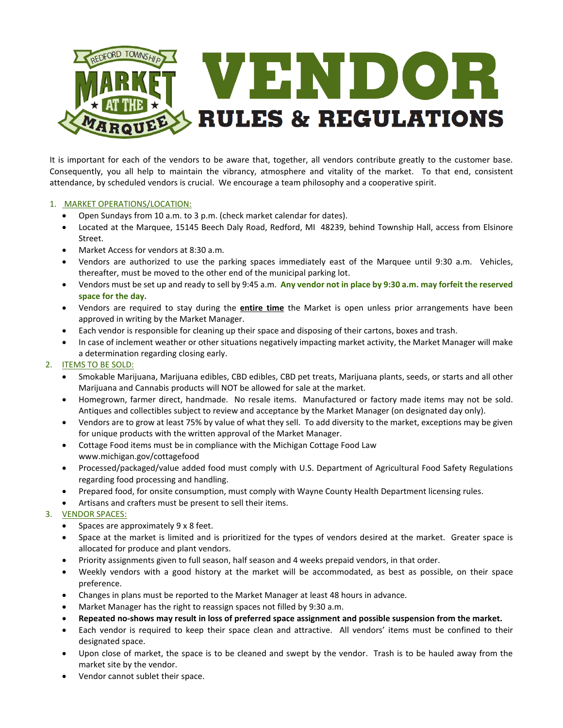

It is important for each of the vendors to be aware that, together, all vendors contribute greatly to the customer base. Consequently, you all help to maintain the vibrancy, atmosphere and vitality of the market. To that end, consistent attendance, by scheduled vendors is crucial. We encourage a team philosophy and a cooperative spirit.

#### 1. MARKET OPERATIONS/LOCATION:

- Open Sundays from 10 a.m. to 3 p.m. (check market calendar for dates).
- Located at the Marquee, 15145 Beech Daly Road, Redford, MI 48239, behind Township Hall, access from Elsinore Street.
- Market Access for vendors at 8:30 a.m.
- Vendors are authorized to use the parking spaces immediately east of the Marquee until 9:30 a.m. Vehicles, thereafter, must be moved to the other end of the municipal parking lot.
- Vendors must be set up and ready to sell by 9:45 a.m. **Any vendor not in place by 9:30 a.m. may forfeit the reserved space for the day.**
- Vendors are required to stay during the **entire time** the Market is open unless prior arrangements have been approved in writing by the Market Manager.
- Each vendor is responsible for cleaning up their space and disposing of their cartons, boxes and trash.
- In case of inclement weather or other situations negatively impacting market activity, the Market Manager will make a determination regarding closing early.
- 2. ITEMS TO BE SOLD:
	- Smokable Marijuana, Marijuana edibles, CBD edibles, CBD pet treats, Marijuana plants, seeds, or starts and all other Marijuana and Cannabis products will NOT be allowed for sale at the market.
	- Homegrown, farmer direct, handmade. No resale items. Manufactured or factory made items may not be sold. Antiques and collectibles subject to review and acceptance by the Market Manager (on designated day only).
	- Vendors are to grow at least 75% by value of what they sell. To add diversity to the market, exceptions may be given for unique products with the written approval of the Market Manager.
	- Cottage Food items must be in compliance with the Michigan Cottage Food Law www.michigan.gov/cottagefood
	- Processed/packaged/value added food must comply with U.S. Department of Agricultural Food Safety Regulations regarding food processing and handling.
	- Prepared food, for onsite consumption, must comply with Wayne County Health Department licensing rules.
	- Artisans and crafters must be present to sell their items.
- 3. VENDOR SPACES:
	- Spaces are approximately 9 x 8 feet.
	- Space at the market is limited and is prioritized for the types of vendors desired at the market. Greater space is allocated for produce and plant vendors.
	- Priority assignments given to full season, half season and 4 weeks prepaid vendors, in that order.
	- Weekly vendors with a good history at the market will be accommodated, as best as possible, on their space preference.
	- Changes in plans must be reported to the Market Manager at least 48 hours in advance.
	- Market Manager has the right to reassign spaces not filled by 9:30 a.m.
	- **Repeated no-shows may result in loss of preferred space assignment and possible suspension from the market.**
	- Each vendor is required to keep their space clean and attractive. All vendors' items must be confined to their designated space.
	- Upon close of market, the space is to be cleaned and swept by the vendor. Trash is to be hauled away from the market site by the vendor.
	- Vendor cannot sublet their space.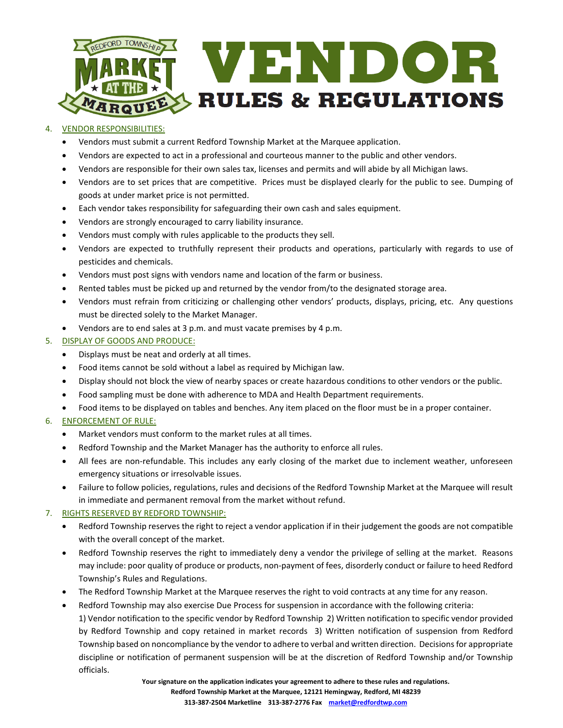

#### 4. VENDOR RESPONSIBILITIES:

- Vendors must submit a current Redford Township Market at the Marquee application.
- Vendors are expected to act in a professional and courteous manner to the public and other vendors.
- Vendors are responsible for their own sales tax, licenses and permits and will abide by all Michigan laws.
- Vendors are to set prices that are competitive. Prices must be displayed clearly for the public to see. Dumping of goods at under market price is not permitted.
- Each vendor takes responsibility for safeguarding their own cash and sales equipment.
- Vendors are strongly encouraged to carry liability insurance.
- Vendors must comply with rules applicable to the products they sell.
- Vendors are expected to truthfully represent their products and operations, particularly with regards to use of pesticides and chemicals.
- Vendors must post signs with vendors name and location of the farm or business.
- Rented tables must be picked up and returned by the vendor from/to the designated storage area.
- Vendors must refrain from criticizing or challenging other vendors' products, displays, pricing, etc. Any questions must be directed solely to the Market Manager.
- Vendors are to end sales at 3 p.m. and must vacate premises by 4 p.m.

#### 5. DISPLAY OF GOODS AND PRODUCE:

- Displays must be neat and orderly at all times.
- Food items cannot be sold without a label as required by Michigan law.
- Display should not block the view of nearby spaces or create hazardous conditions to other vendors or the public.
- Food sampling must be done with adherence to MDA and Health Department requirements.
- Food items to be displayed on tables and benches. Any item placed on the floor must be in a proper container.

# 6. ENFORCEMENT OF RULE:

- Market vendors must conform to the market rules at all times.
- Redford Township and the Market Manager has the authority to enforce all rules.
- All fees are non-refundable. This includes any early closing of the market due to inclement weather, unforeseen emergency situations or irresolvable issues.
- Failure to follow policies, regulations, rules and decisions of the Redford Township Market at the Marquee will result in immediate and permanent removal from the market without refund.

# 7. RIGHTS RESERVED BY REDFORD TOWNSHIP:

- Redford Township reserves the right to reject a vendor application if in their judgement the goods are not compatible with the overall concept of the market.
- Redford Township reserves the right to immediately deny a vendor the privilege of selling at the market. Reasons may include: poor quality of produce or products, non-payment of fees, disorderly conduct or failure to heed Redford Township's Rules and Regulations.
- The Redford Township Market at the Marquee reserves the right to void contracts at any time for any reason.
- Redford Township may also exercise Due Process for suspension in accordance with the following criteria: 1) Vendor notification to the specific vendor by Redford Township 2) Written notification to specific vendor provided by Redford Township and copy retained in market records 3) Written notification of suspension from Redford Township based on noncompliance by the vendor to adhere to verbal and written direction. Decisionsfor appropriate discipline or notification of permanent suspension will be at the discretion of Redford Township and/or Township officials.